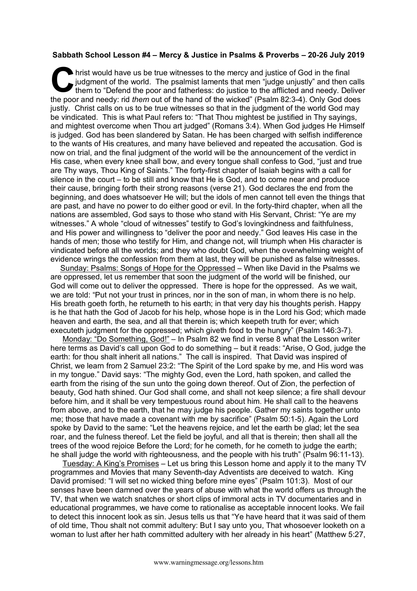## **Sabbath School Lesson #4 – Mercy & Justice in Psalms & Proverbs – 20-26 July 2019**

hrist would have us be true witnesses to the mercy and justice of God in the final judgment of the world. The psalmist laments that men "judge unjustly" and then calls them to "Defend the poor and fatherless: do justice to the afflicted and needy. Deliver the poor and needy: rid *them* out of the hand of the wicked" (Psalm 82:3-4). Only God does justly. Christ calls on us to be true witnesses so that in the judgment of the world God may be vindicated. This is what Paul refers to: "That Thou mightest be justified in Thy sayings, and mightest overcome when Thou art judged" (Romans 3:4). When God judges He Himself is judged. God has been slandered by Satan. He has been charged with selfish indifference to the wants of His creatures, and many have believed and repeated the accusation. God is now on trial, and the final judgment of the world will be the announcement of the verdict in His case, when every knee shall bow, and every tongue shall confess to God, "just and true are Thy ways, Thou King of Saints." The forty-first chapter of Isaiah begins with a call for silence in the court – to be still and know that He is God, and to come near and produce their cause, bringing forth their strong reasons (verse 21). God declares the end from the beginning, and does whatsoever He will; but the idols of men cannot tell even the things that are past, and have no power to do either good or evil. In the forty-third chapter, when all the nations are assembled, God says to those who stand with His Servant, Christ: "Ye are my witnesses." A whole "cloud of witnesses" testify to God's lovingkindness and faithfulness, and His power and willingness to "deliver the poor and needy." God leaves His case in the hands of men; those who testify for Him, and change not, will triumph when His character is vindicated before all the worlds; and they who doubt God, when the overwhelming weight of evidence wrings the confession from them at last, they will be punished as false witnesses. C hris

Sunday: Psalms: Songs of Hope for the Oppressed – When like David in the Psalms we are oppressed, let us remember that soon the judgment of the world will be finished, our God will come out to deliver the oppressed. There is hope for the oppressed. As we wait, we are told: "Put not your trust in princes, nor in the son of man, in whom there is no help. His breath goeth forth, he returneth to his earth; in that very day his thoughts perish. Happy is he that hath the God of Jacob for his help, whose hope is in the Lord his God; which made heaven and earth, the sea, and all that therein is; which keepeth truth for ever; which executeth judgment for the oppressed; which giveth food to the hungry" (Psalm 146:3-7).

Monday: "Do Something, God!" – In Psalm 82 we find in verse 8 what the Lesson writer here terms as David's call upon God to do something – but it reads: "Arise, O God, judge the earth: for thou shalt inherit all nations." The call is inspired. That David was inspired of Christ, we learn from 2 Samuel 23:2: "The Spirit of the Lord spake by me, and His word was in my tongue." David says: "The mighty God, even the Lord, hath spoken, and called the earth from the rising of the sun unto the going down thereof. Out of Zion, the perfection of beauty, God hath shined. Our God shall come, and shall not keep silence; a fire shall devour before him, and it shall be very tempestuous round about him. He shall call to the heavens from above, and to the earth, that he may judge his people. Gather my saints together unto me; those that have made a covenant with me by sacrifice" (Psalm 50:1-5). Again the Lord spoke by David to the same: "Let the heavens rejoice, and let the earth be glad; let the sea roar, and the fulness thereof. Let the field be joyful, and all that is therein; then shall all the trees of the wood rejoice Before the Lord; for he cometh, for he cometh to judge the earth; he shall judge the world with righteousness, and the people with his truth" (Psalm 96:11-13).

Tuesday: A King's Promises – Let us bring this Lesson home and apply it to the many TV programmes and Movies that many Seventh-day Adventists are deceived to watch. King David promised: "I will set no wicked thing before mine eyes" (Psalm 101:3). Most of our senses have been damned over the years of abuse with what the world offers us through the TV, that when we watch snatches or short clips of immoral acts in TV documentaries and in educational programmes, we have come to rationalise as acceptable innocent looks. We fail to detect this innocent look as sin. Jesus tells us that "Ye have heard that it was said of them of old time, Thou shalt not commit adultery: But I say unto you, That whosoever looketh on a woman to lust after her hath committed adultery with her already in his heart" (Matthew 5:27,